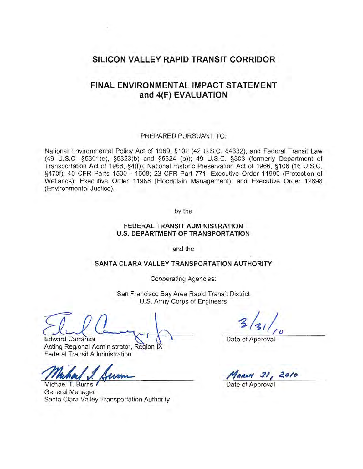# **SILICON VALLEY RAPID TRANSIT CORRIDOR**

## **FINAL ENVIRONMENTAL IMPACT STATEMENT and 4{F) EVALUATION**

#### PREPARED PURSUANT TO:

National Environmental Policy Act of 1969, §102 (42 U.S.C. §4332); and Federal Transit Law (49 U.S.C. §5301 (e), §5323(b) and §5324 (b)); 49 U.S.C. §303 (formerly Department of Transportation Act of 1966, §4(f)); National Historic Preservation Act of 1966, §106 (16 U.S.C. §470f); 40 CFR Parts 1500 - 1508; 23 CFR Part 771; Executive Order 11990 (Protection of Wetlands); Executive Order 11988 (Floodplain Management); and Executive Order 12898 (Environmental Justice).

by the

### **FEDERAL TRANSIT ADMINISTRATION U.S. DEPARTMENT OF TRANSPORTATION**

and the

#### **SANTA CLARA VALLEY TRANSPORTATION AUTHORITY**

Cooperating Agencies:

San Francisco Bay Area Rapid Transit District U.S. Army Corps of Engineers

Edward Carranza  $\setminus$   $\setminus$   $\setminus$   $\setminus$   $\setminus$  Date of Approval

Acting Regional Administrator, Region I Federal Transit Administration

Acting Regional Administrator, Region IX<br>Federal Transit Administration<br>Muchael T. Burns<br>Michael T. Burns

General Manager Santa Clara Valley Transportation Authority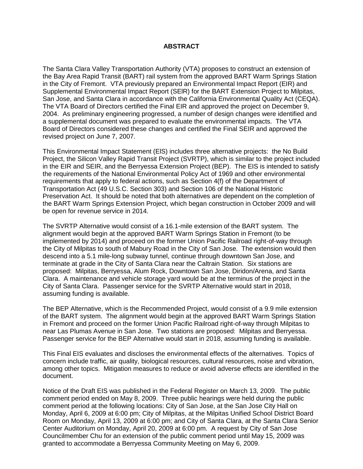### **ABSTRACT**

The Santa Clara Valley Transportation Authority (VTA) proposes to construct an extension of the Bay Area Rapid Transit (BART) rail system from the approved BART Warm Springs Station in the City of Fremont. VTA previously prepared an Environmental Impact Report (EIR) and Supplemental Environmental Impact Report (SElR) for the BART Extension Project to Milpitas, San Jose, and Santa Clara in accordance with the California Environmental Quality Act (CEQA). The VTA Board of Directors certified the Final EIR and approved the project on December 9, 2004. As preliminary engineering progressed, a number of design changes were identified and a supplemental document was prepared to evaluate the environmental impacts. The VTA Board of Directors considered these changes and certified the Final SEIR and approved the revised project on June 7, 2007.

This Environmental Impact Statement (ElS) includes three alternative projects: the No Build Project, the Silicon Valley Rapid Transit Project (SVRTP), which is similar to the project included in the EIR and SEIR, and the Berryessa Extension Project (BEP). The EIS is intended to satisfy the requirements of the National Environmental Policy Act of 1969 and other environmental requirements that apply to federal actions, such as Section 4(f) of the Department of Transportation Act (49 U.S.C. Section 303) and Section 106 of the National Historic Preservation Act. It should be noted that both alternatives are dependent on the completion of the BART Warm Springs Extension Project, which began construction in October 2009 and will be open for revenue service in 2014.

The SVRTP Alternative would consist of a 16.1-mile extension of the BART system. The alignment would begin at the approved BART Warm Springs Station in Fremont (to be implemented by 2014) and proceed on the former Union Pacific Railroad right-of-way through the City of Milpitas to south of Mabury Road in the City of San Jose. The extension would then descend into a 5.1 mile-long subway tunnel, continue through downtown San Jose, and terminate at grade in the City of Santa Clara near the Caltrain Station. Six stations are proposed: Milpitas, Berryessa, Alum Rock, Downtown San Jose, Diridon/Arena, and Santa Clara. A maintenance and vehicle storage yard would be at the terminus of the project in the City of Santa Clara. Passenger service for the SVRTP Alternative would start in 2018, assuming funding is available.

The BEP Alternative, which is the Recommended Project, would consist of a 9.9 mile extension of the BART system. The alignment would begin at the approved BART Warm Springs Station in Fremont and proceed on the former Union Pacific Railroad right-of-way through Milpitas to near Las Plumas Avenue in San Jose. Two stations are proposed: Milpitas and Berryessa. Passenger service for the BEP Alternative would start in 2018, assuming funding is available.

This Final EIS evaluates and discloses the environmental effects of the alternatives. Topics of concern include traffic, air quality, biological resources, cultural resources, noise and vibration, among other topics. Mitigation measures to reduce or avoid adverse effects are identified in the document.

Notice of the Draft EIS was published in the Federal Register on March 13, 2009. The public comment period ended on May 8, 2009. Three public hearings were held during the public comment period at the following locations: City of San Jose, at the San Jose City Hall on Monday, April 6, 2009 at 6:00 pm; City of Milpitas, at the Milpitas Unified School District Board Room on Monday, April 13, 2009 at 6:00 pm; and City of Santa Clara, at the Santa Clara Senior Center Auditorium on Monday, April 20, 2009 at 6:00 pm. A request by City of San Jose Councilmember Chu for an extension of the public comment period until May 15, 2009 was granted to accommodate a Berryessa Community Meeting on May 6, 2009.